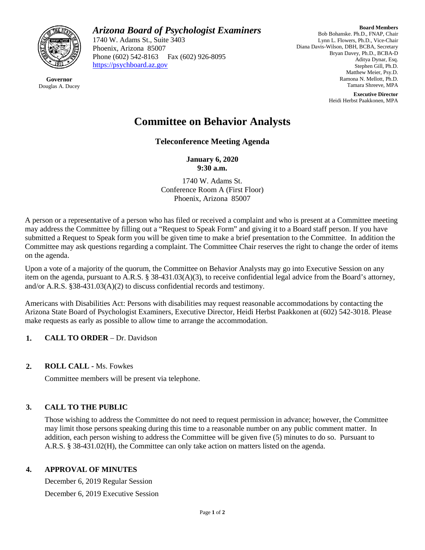

**Governor** Douglas A. Ducey *Arizona Board of Psychologist Examiners*

1740 W. Adams St., Suite 3403 Phoenix, Arizona 85007 Phone (602) 542-8163 Fax (602) 926-8095 [https://psychboard.az.gov](https://psychboard.az.gov/) 

**Board Members** Bob Bohanske. Ph.D., FNAP, Chair Lynn L. Flowers, Ph.D., Vice-Chair Diana Davis-Wilson, DBH, BCBA, Secretary Bryan Davey, Ph.D., BCBA-D Aditya Dynar, Esq. Stephen Gill, Ph.D. Matthew Meier, Psy.D. Ramona N. Mellott, Ph.D. Tamara Shreeve, MPA

> **Executive Director** Heidi Herbst Paakkonen, MPA

# **Committee on Behavior Analysts**

**Teleconference Meeting Agenda**

**January 6, 2020 9:30 a.m.**

1740 W. Adams St. Conference Room A (First Floor) Phoenix, Arizona 85007

A person or a representative of a person who has filed or received a complaint and who is present at a Committee meeting may address the Committee by filling out a "Request to Speak Form" and giving it to a Board staff person. If you have submitted a Request to Speak form you will be given time to make a brief presentation to the Committee. In addition the Committee may ask questions regarding a complaint. The Committee Chair reserves the right to change the order of items on the agenda.

Upon a vote of a majority of the quorum, the Committee on Behavior Analysts may go into Executive Session on any item on the agenda, pursuant to A.R.S. § 38-431.03(A)(3), to receive confidential legal advice from the Board's attorney, and/or A.R.S. §38-431.03(A)(2) to discuss confidential records and testimony.

Americans with Disabilities Act: Persons with disabilities may request reasonable accommodations by contacting the Arizona State Board of Psychologist Examiners, Executive Director, Heidi Herbst Paakkonen at (602) 542-3018. Please make requests as early as possible to allow time to arrange the accommodation.

- **1. CALL TO ORDER**  Dr. Davidson
- **2. ROLL CALL -** Ms. Fowkes

Committee members will be present via telephone.

## **3. CALL TO THE PUBLIC**

Those wishing to address the Committee do not need to request permission in advance; however, the Committee may limit those persons speaking during this time to a reasonable number on any public comment matter. In addition, each person wishing to address the Committee will be given five (5) minutes to do so. Pursuant to A.R.S. § 38-431.02(H), the Committee can only take action on matters listed on the agenda.

## **4. APPROVAL OF MINUTES**

December 6, 2019 Regular Session December 6, 2019 Executive Session